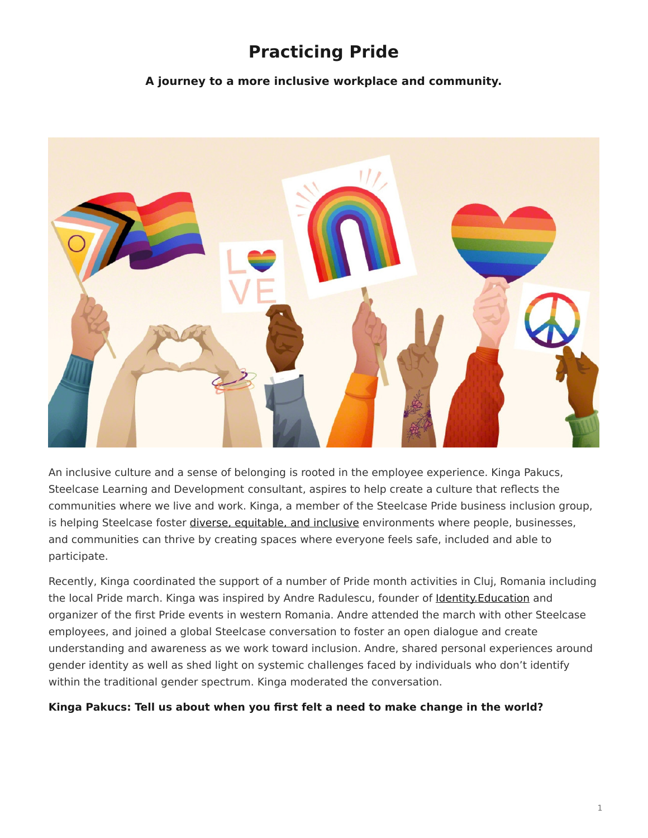# **Practicing Pride**

**A journey to a more inclusive workplace and community.**

<span id="page-0-0"></span>

An inclusive culture and a sense of belonging is rooted in the employee experience. Kinga Pakucs, Steelcase Learning and Development consultant, aspires to help create a culture that reflects the communities where we live and work. Kinga, a member of the Steelcase Pride business inclusion group, is helping Steelcase foster [diverse, equitable, and inclusive](https://www.steelcase.com/discover/steelcase/esg-overview/social/#diversity-equity-inclusion) environments where people, businesses, and communities can thrive by creating spaces where everyone feels safe, included and able to participate.

Recently, Kinga coordinated the support of a number of Pride month activities in Cluj, Romania including the local Pride march. Kinga was inspired by Andre Radulescu, founder of Identity. Education and organizer of the first Pride events in western Romania. Andre attended the march with other Steelcase employees, and joined a global Steelcase conversation to foster an open dialogue and create understanding and awareness as we work toward inclusion. Andre, shared personal experiences around gender identity as well as shed light on systemic challenges faced by individuals who don't identify within the traditional gender spectrum. Kinga moderated the conversation.

### **Kinga Pakucs: Tell us about when you first felt a need to make change in the world?**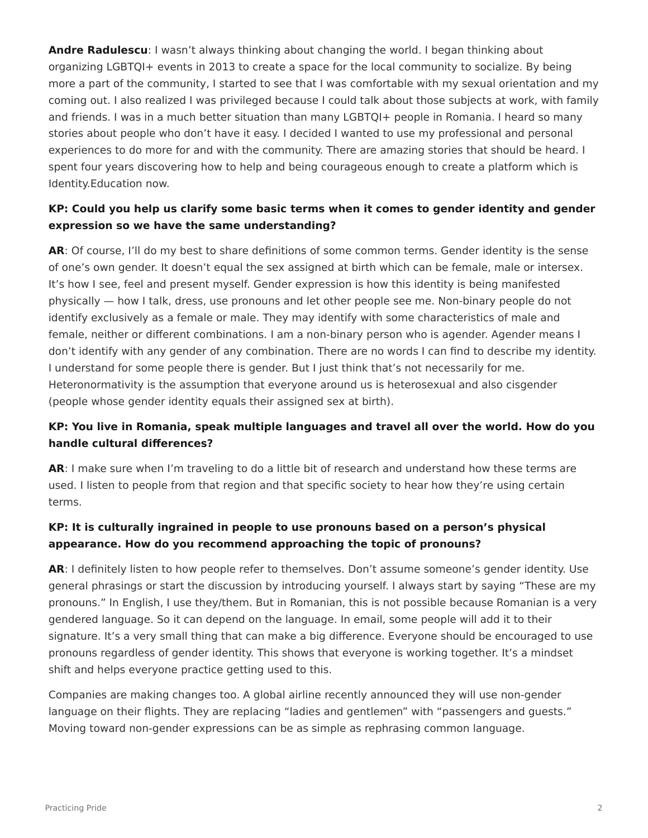**Andre Radulescu**: I wasn't always thinking about changing the world. I began thinking about organizing LGBTQI+ events in 2013 to create a space for the local community to socialize. By being more a part of the community, I started to see that I was comfortable with my sexual orientation and my coming out. I also realized I was privileged because I could talk about those subjects at work, with family and friends. I was in a much better situation than many LGBTQI+ people in Romania. I heard so many stories about people who don't have it easy. I decided I wanted to use my professional and personal experiences to do more for and with the community. There are amazing stories that should be heard. I spent four years discovering how to help and being courageous enough to create a platform which is Identity.Education now.

## **KP: Could you help us clarify some basic terms when it comes to gender identity and gender expression so we have the same understanding?**

**AR**: Of course, I'll do my best to share definitions of some common terms. Gender identity is the sense of one's own gender. It doesn't equal the sex assigned at birth which can be female, male or intersex. It's how I see, feel and present myself. Gender expression is how this identity is being manifested physically — how I talk, dress, use pronouns and let other people see me. Non-binary people do not identify exclusively as a female or male. They may identify with some characteristics of male and female, neither or different combinations. I am a non-binary person who is agender. Agender means I don't identify with any gender of any combination. There are no words I can find to describe my identity. I understand for some people there is gender. But I just think that's not necessarily for me. Heteronormativity is the assumption that everyone around us is heterosexual and also cisgender (people whose gender identity equals their assigned sex at birth).

## **KP: You live in Romania, speak multiple languages and travel all over the world. How do you handle cultural differences?**

**AR**: I make sure when I'm traveling to do a little bit of research and understand how these terms are used. I listen to people from that region and that specific society to hear how they're using certain terms.

## **KP: It is culturally ingrained in people to use pronouns based on a person's physical appearance. How do you recommend approaching the topic of pronouns?**

**AR**: I definitely listen to how people refer to themselves. Don't assume someone's gender identity. Use general phrasings or start the discussion by introducing yourself. I always start by saying "These are my pronouns." In English, I use they/them. But in Romanian, this is not possible because Romanian is a very gendered language. So it can depend on the language. In email, some people will add it to their signature. It's a very small thing that can make a big difference. Everyone should be encouraged to use pronouns regardless of gender identity. This shows that everyone is working together. It's a mindset shift and helps everyone practice getting used to this.

Companies are making changes too. A global airline recently announced they will use non-gender language on their flights. They are replacing "ladies and gentlemen" with "passengers and guests." Moving toward non-gender expressions can be as simple as rephrasing common language.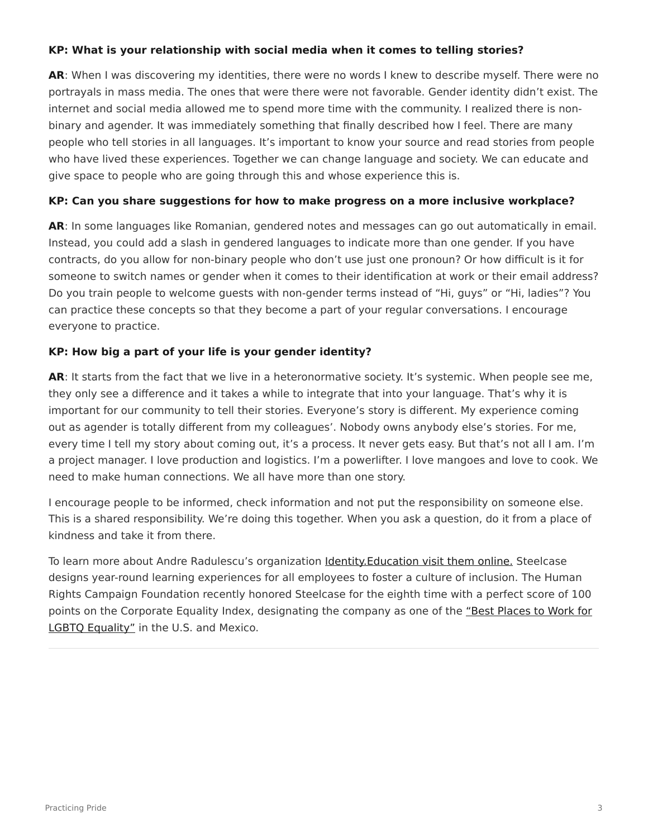### **KP: What is your relationship with social media when it comes to telling stories?**

**AR**: When I was discovering my identities, there were no words I knew to describe myself. There were no portrayals in mass media. The ones that were there were not favorable. Gender identity didn't exist. The internet and social media allowed me to spend more time with the community. I realized there is nonbinary and agender. It was immediately something that finally described how I feel. There are many people who tell stories in all languages. It's important to know your source and read stories from people who have lived these experiences. Together we can change language and society. We can educate and give space to people who are going through this and whose experience this is.

### **KP: Can you share suggestions for how to make progress on a more inclusive workplace?**

**AR**: In some languages like Romanian, gendered notes and messages can go out automatically in email. Instead, you could add a slash in gendered languages to indicate more than one gender. If you have contracts, do you allow for non-binary people who don't use just one pronoun? Or how difficult is it for someone to switch names or gender when it comes to their identification at work or their email address? Do you train people to welcome guests with non-gender terms instead of "Hi, guys" or "Hi, ladies"? You can practice these concepts so that they become a part of your regular conversations. I encourage everyone to practice.

## **KP: How big a part of your life is your gender identity?**

AR: It starts from the fact that we live in a heteronormative society. It's systemic. When people see me, they only see a difference and it takes a while to integrate that into your language. That's why it is important for our community to tell their stories. Everyone's story is different. My experience coming out as agender is totally different from my colleagues'. Nobody owns anybody else's stories. For me, every time I tell my story about coming out, it's a process. It never gets easy. But that's not all I am. I'm a project manager. I love production and logistics. I'm a powerlifter. I love mangoes and love to cook. We need to make human connections. We all have more than one story.

I encourage people to be informed, check information and not put the responsibility on someone else. This is a shared responsibility. We're doing this together. When you ask a question, do it from a place of kindness and take it from there.

To learn more about Andre Radulescu's organization Identity. Education visit them online. Steelcase designs year-round learning experiences for all employees to foster a culture of inclusion. The Human Rights Campaign Foundation recently honored Steelcase for the eighth time with a perfect score of 100 points on the Corporate Equality Index, designating the company as one of the ["Best Places to Work for](https://www.steelcase.com/press-releases/steelcase-named-best-place-work-lgbtq-equality/) [LGBTQ Equality"](https://www.steelcase.com/press-releases/steelcase-named-best-place-work-lgbtq-equality/) in the U.S. and Mexico.